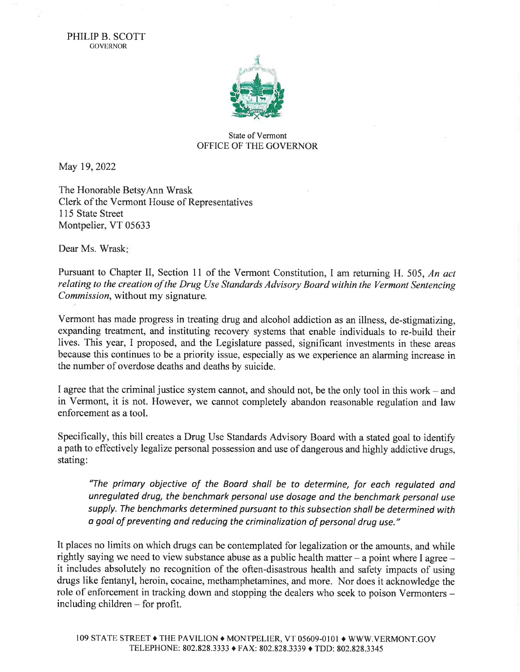PHILIP B. SCOTT GOVERNOR



## State of Vermont OFFICE OF THE GOVERNOR

May 19,2022

The Honorable BetsyAnn Wrask Clerk of the Vermont House of Representatives 115 State Street Montpelier, VT 05633

Dear Ms. Wrask:

Pursuant to Chapter II, Section 11 of the Vermont Constitution, I am returning H. 505, An act relating to the creation of the Drug Use Standards Advisory Board within the Vermont Sentencing Commission, without my signature.

Vermont has made progress in treating drug and alcohol addiction as an illness, de-stigmatizing, expanding treatment, and instituting recovery systems that enable individuals to re-build their lives. This year, I proposed, and the Legislature passed, significant investments in these areas because this continues to be a priority issue, especially as we experience an alarming increase in the number of overdose deaths and deaths by suicide.

I agree that the criminal justice system cannot, and should not, be the only tool in this work  $-$  and in Vermont, it is not. However, we cannot completely abandon reasonable regulation and law enforcement as a tool.

Specifically, this bill creates a Drug Use Standards Advisory Board with a stated goal to identify <sup>a</sup>path to effectively legalize personal possession and use of dangerous and highly addictive drugs, stating:

'The primary objective of the Boord sholl be to determine, for each regulated and unregulated drug, the benchmark personal use dosage and the benchmark personal use supply. The benchmarks determined pursuant to this subsection shall be determined with a goal of preventing and reducing the criminalization of personal drua use."

It places no limits on which drugs can be contemplated for legalization or the amounts, and while rightly saying we need to view substance abuse as a public health matter  $-$  a point where I agree  $$ it includes absolutely no recognition of the often-disastrous health and safety impacts of using drugs like fentanyl, heroin, cocaine, methamphetamines, and more. Nor does it acknowledge the role of enforcement in tracking down and stopping the dealers who seek to poison Vermonters including children - for profit.